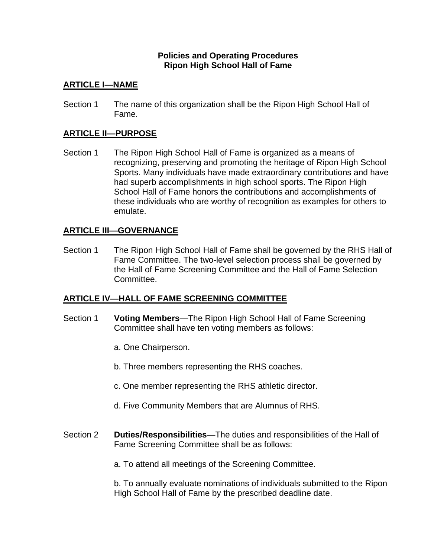### **Policies and Operating Procedures Ripon High School Hall of Fame**

## **ARTICLE I—NAME**

Section 1 The name of this organization shall be the Ripon High School Hall of Fame.

### **ARTICLE II—PURPOSE**

Section 1 The Ripon High School Hall of Fame is organized as a means of recognizing, preserving and promoting the heritage of Ripon High School Sports. Many individuals have made extraordinary contributions and have had superb accomplishments in high school sports. The Ripon High School Hall of Fame honors the contributions and accomplishments of these individuals who are worthy of recognition as examples for others to emulate.

### **ARTICLE III—GOVERNANCE**

Section 1 The Ripon High School Hall of Fame shall be governed by the RHS Hall of Fame Committee. The two-level selection process shall be governed by the Hall of Fame Screening Committee and the Hall of Fame Selection Committee.

### **ARTICLE IV—HALL OF FAME SCREENING COMMITTEE**

- Section 1 **Voting Members**—The Ripon High School Hall of Fame Screening Committee shall have ten voting members as follows:
	- a. One Chairperson.
	- b. Three members representing the RHS coaches.
	- c. One member representing the RHS athletic director.
	- d. Five Community Members that are Alumnus of RHS.
- Section 2 **Duties/Responsibilities**—The duties and responsibilities of the Hall of Fame Screening Committee shall be as follows:
	- a. To attend all meetings of the Screening Committee.

b. To annually evaluate nominations of individuals submitted to the Ripon High School Hall of Fame by the prescribed deadline date.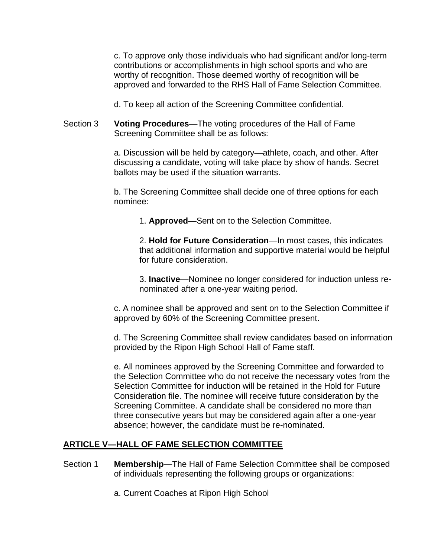c. To approve only those individuals who had significant and/or long-term contributions or accomplishments in high school sports and who are worthy of recognition. Those deemed worthy of recognition will be approved and forwarded to the RHS Hall of Fame Selection Committee.

d. To keep all action of the Screening Committee confidential.

Section 3 **Voting Procedures**—The voting procedures of the Hall of Fame Screening Committee shall be as follows:

> a. Discussion will be held by category—athlete, coach, and other. After discussing a candidate, voting will take place by show of hands. Secret ballots may be used if the situation warrants.

> b. The Screening Committee shall decide one of three options for each nominee:

1. **Approved**—Sent on to the Selection Committee.

2. **Hold for Future Consideration**—In most cases, this indicates that additional information and supportive material would be helpful for future consideration.

3. **Inactive**—Nominee no longer considered for induction unless renominated after a one-year waiting period.

c. A nominee shall be approved and sent on to the Selection Committee if approved by 60% of the Screening Committee present.

d. The Screening Committee shall review candidates based on information provided by the Ripon High School Hall of Fame staff.

e. All nominees approved by the Screening Committee and forwarded to the Selection Committee who do not receive the necessary votes from the Selection Committee for induction will be retained in the Hold for Future Consideration file. The nominee will receive future consideration by the Screening Committee. A candidate shall be considered no more than three consecutive years but may be considered again after a one-year absence; however, the candidate must be re-nominated.

# **ARTICLE V—HALL OF FAME SELECTION COMMITTEE**

- Section 1 **Membership**—The Hall of Fame Selection Committee shall be composed of individuals representing the following groups or organizations:
	- a. Current Coaches at Ripon High School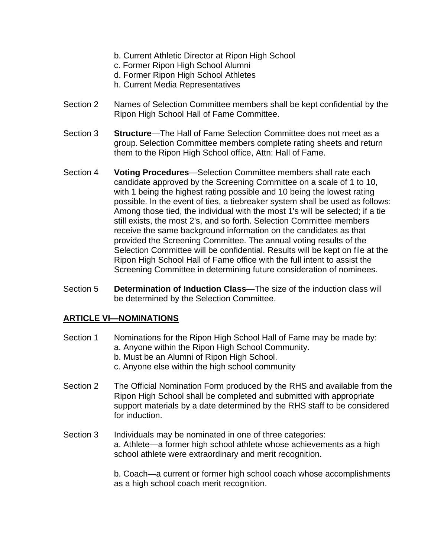- b. Current Athletic Director at Ripon High School
- c. Former Ripon High School Alumni
- d. Former Ripon High School Athletes
- h. Current Media Representatives
- Section 2 Names of Selection Committee members shall be kept confidential by the Ripon High School Hall of Fame Committee.
- Section 3 **Structure**—The Hall of Fame Selection Committee does not meet as a group.Selection Committee members complete rating sheets and return them to the Ripon High School office, Attn: Hall of Fame.
- Section 4 **Voting Procedures**—Selection Committee members shall rate each candidate approved by the Screening Committee on a scale of 1 to 10, with 1 being the highest rating possible and 10 being the lowest rating possible. In the event of ties, a tiebreaker system shall be used as follows: Among those tied, the individual with the most 1's will be selected; if a tie still exists, the most 2's, and so forth. Selection Committee members receive the same background information on the candidates as that provided the Screening Committee. The annual voting results of the Selection Committee will be confidential. Results will be kept on file at the Ripon High School Hall of Fame office with the full intent to assist the Screening Committee in determining future consideration of nominees.
- Section 5 **Determination of Induction Class**—The size of the induction class will be determined by the Selection Committee.

### **ARTICLE VI—NOMINATIONS**

- Section 1 Nominations for the Ripon High School Hall of Fame may be made by: a. Anyone within the Ripon High School Community.
	- b. Must be an Alumni of Ripon High School.
	- c. Anyone else within the high school community
- Section 2 The Official Nomination Form produced by the RHS and available from the Ripon High School shall be completed and submitted with appropriate support materials by a date determined by the RHS staff to be considered for induction.
- Section 3 Individuals may be nominated in one of three categories: a. Athlete—a former high school athlete whose achievements as a high school athlete were extraordinary and merit recognition.

b. Coach—a current or former high school coach whose accomplishments as a high school coach merit recognition.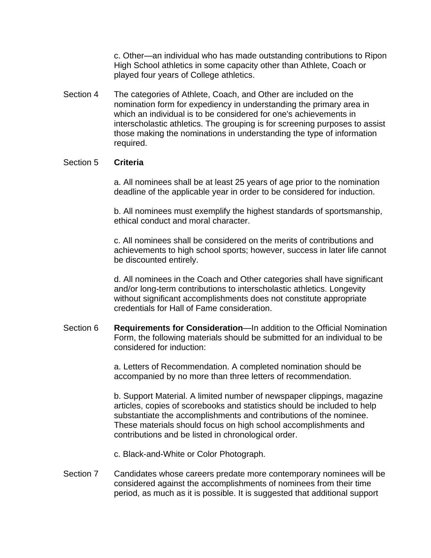c. Other—an individual who has made outstanding contributions to Ripon High School athletics in some capacity other than Athlete, Coach or played four years of College athletics.

Section 4 The categories of Athlete, Coach, and Other are included on the nomination form for expediency in understanding the primary area in which an individual is to be considered for one's achievements in interscholastic athletics. The grouping is for screening purposes to assist those making the nominations in understanding the type of information required.

#### Section 5 **Criteria**

a. All nominees shall be at least 25 years of age prior to the nomination deadline of the applicable year in order to be considered for induction.

b. All nominees must exemplify the highest standards of sportsmanship, ethical conduct and moral character.

c. All nominees shall be considered on the merits of contributions and achievements to high school sports; however, success in later life cannot be discounted entirely.

d. All nominees in the Coach and Other categories shall have significant and/or long-term contributions to interscholastic athletics. Longevity without significant accomplishments does not constitute appropriate credentials for Hall of Fame consideration.

Section 6 **Requirements for Consideration**—In addition to the Official Nomination Form, the following materials should be submitted for an individual to be considered for induction:

> a. Letters of Recommendation. A completed nomination should be accompanied by no more than three letters of recommendation.

b. Support Material. A limited number of newspaper clippings, magazine articles, copies of scorebooks and statistics should be included to help substantiate the accomplishments and contributions of the nominee. These materials should focus on high school accomplishments and contributions and be listed in chronological order.

- c. Black-and-White or Color Photograph.
- Section 7 Candidates whose careers predate more contemporary nominees will be considered against the accomplishments of nominees from their time period, as much as it is possible. It is suggested that additional support